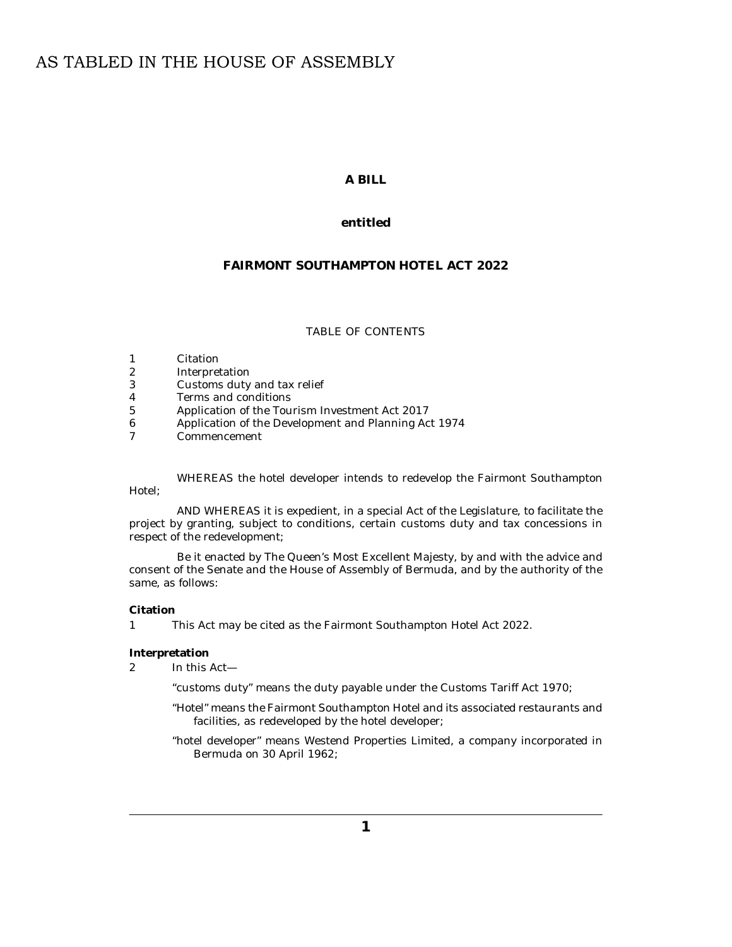# AS TABLED IN THE HOUSE OF ASSEMBLY

## **A BILL**

## **entitled**

# **FAIRMONT SOUTHAMPTON HOTEL ACT 2022**

#### TABLE OF CONTENTS

- Citation 1
- Interpretation 2
- [Customs duty and tax relief](#page-1-0) 3
- [Terms and conditions](#page-1-0) 4
- [Application of the Tourism Investment Act 2017](#page-2-0) 5
- [Application of the Development and Planning Act 1974](#page-2-0) 6
- [Commencement](#page-2-0) 7

WHEREAS the hotel developer intends to redevelop the Fairmont Southampton Hotel;

AND WHEREAS it is expedient, in a special Act of the Legislature, to facilitate the project by granting, subject to conditions, certain customs duty and tax concessions in respect of the redevelopment;

Be it enacted by The Queen's Most Excellent Majesty, by and with the advice and consent of the Senate and the House of Assembly of Bermuda, and by the authority of the same, as follows:

#### **Citation**

This Act may be cited as the Fairmont Southampton Hotel Act 2022. 1

**Interpretation**

In this Act— 2

"customs duty" means the duty payable under the Customs Tariff Act 1970;

- "Hotel" means the Fairmont Southampton Hotel and its associated restaurants and facilities, as redeveloped by the hotel developer;
- "hotel developer" means Westend Properties Limited, a company incorporated in Bermuda on 30 April 1962;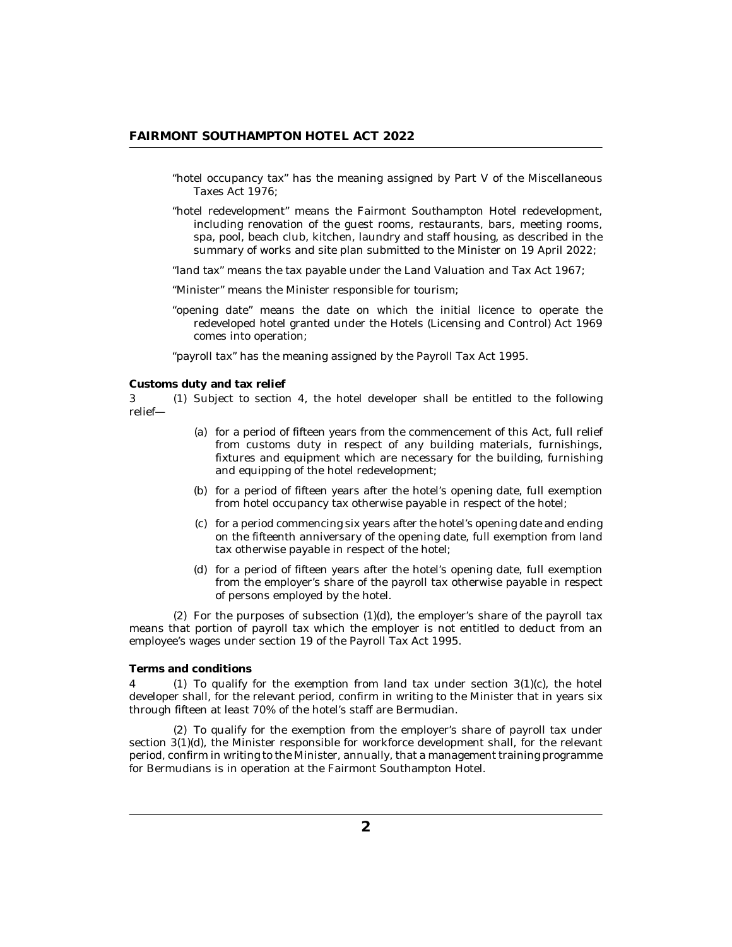- <span id="page-1-0"></span>"hotel occupancy tax" has the meaning assigned by Part V of the Miscellaneous Taxes Act 1976;
- "hotel redevelopment" means the Fairmont Southampton Hotel redevelopment, including renovation of the guest rooms, restaurants, bars, meeting rooms, spa, pool, beach club, kitchen, laundry and staff housing, as described in the summary of works and site plan submitted to the Minister on 19 April 2022;
- "land tax" means the tax payable under the Land Valuation and Tax Act 1967;
- "Minister" means the Minister responsible for tourism;
- "opening date" means the date on which the initial licence to operate the redeveloped hotel granted under the Hotels (Licensing and Control) Act 1969 comes into operation;

"payroll tax" has the meaning assigned by the Payroll Tax Act 1995.

**Customs duty and tax relief**

3 (1) Subject to section 4, the hotel developer shall be entitled to the following relief—

- (a) for a period of fifteen years from the commencement of this Act, full relief from customs duty in respect of any building materials, furnishings, fixtures and equipment which are necessary for the building, furnishing and equipping of the hotel redevelopment;
- (b) for a period of fifteen years after the hotel's opening date, full exemption from hotel occupancy tax otherwise payable in respect of the hotel;
- for a period commencing six years after the hotel's opening date and ending (c) on the fifteenth anniversary of the opening date, full exemption from land tax otherwise payable in respect of the hotel;
- for a period of fifteen years after the hotel's opening date, full exemption (d) from the employer's share of the payroll tax otherwise payable in respect of persons employed by the hotel.

 $(2)$  For the purposes of subsection  $(1)(d)$ , the employer's share of the payroll tax means that portion of payroll tax which the employer is not entitled to deduct from an employee's wages under section 19 of the Payroll Tax Act 1995.

#### **Terms and conditions**

4 (1) To qualify for the exemption from land tax under section  $3(1)(c)$ , the hotel developer shall, for the relevant period, confirm in writing to the Minister that in years six through fifteen at least 70% of the hotel's staff are Bermudian.

To qualify for the exemption from the employer's share of payroll tax under (2) section 3(1)(d), the Minister responsible for workforce development shall, for the relevant period, confirm in writing to the Minister, annually, that a management training programme for Bermudians is in operation at the Fairmont Southampton Hotel.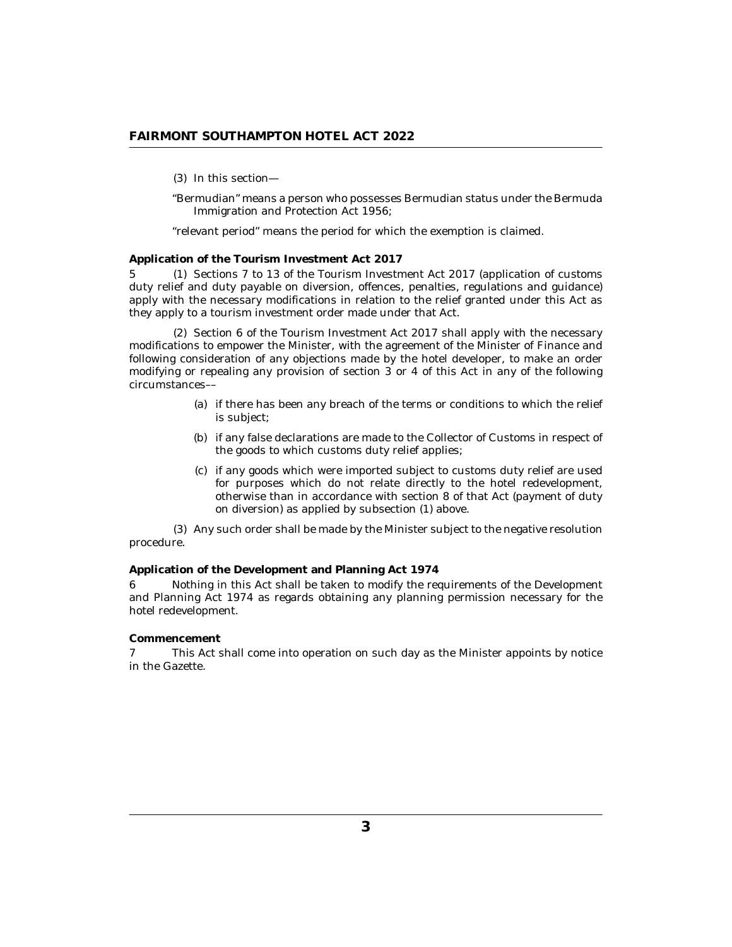<span id="page-2-0"></span>(3) In this section—

"Bermudian" means a person who possesses Bermudian status under the Bermuda Immigration and Protection Act 1956;

"relevant period" means the period for which the exemption is claimed.

#### **Application of the Tourism Investment Act 2017**

5 (1) Sections 7 to 13 of the Tourism Investment Act 2017 (application of customs duty relief and duty payable on diversion, offences, penalties, regulations and guidance) apply with the necessary modifications in relation to the relief granted under this Act as they apply to a tourism investment order made under that Act.

 $(2)$  Section 6 of the Tourism Investment Act 2017 shall apply with the necessary modifications to empower the Minister, with the agreement of the Minister of Finance and following consideration of any objections made by the hotel developer, to make an order modifying or repealing any provision of section 3 or 4 of this Act in any of the following circumstances––

- (a) if there has been any breach of the terms or conditions to which the relief is subject;
- (b) if any false declarations are made to the Collector of Customs in respect of the goods to which customs duty relief applies;
- if any goods which were imported subject to customs duty relief are used (c) for purposes which do not relate directly to the hotel redevelopment, otherwise than in accordance with section 8 of that Act (payment of duty on diversion) as applied by subsection (1) above.

Any such order shall be made by the Minister subject to the negative resolution (3) procedure.

**Application of the Development and Planning Act 1974**

Nothing in this Act shall be taken to modify the requirements of the Development and Planning Act 1974 as regards obtaining any planning permission necessary for the hotel redevelopment. 6

#### **Commencement**

This Act shall come into operation on such day as the Minister appoints by notice in the Gazette. 7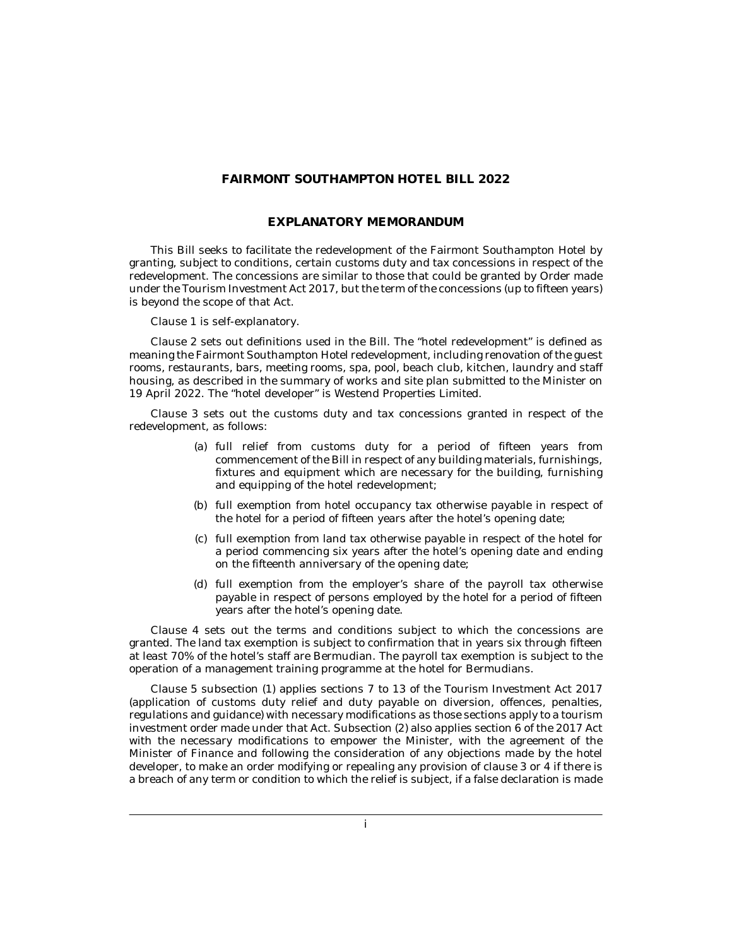### **FAIRMONT SOUTHAMPTON HOTEL BILL 2022**

#### **EXPLANATORY MEMORANDUM**

This Bill seeks to facilitate the redevelopment of the Fairmont Southampton Hotel by granting, subject to conditions, certain customs duty and tax concessions in respect of the redevelopment. The concessions are similar to those that could be granted by Order made under the Tourism Investment Act 2017, but the term of the concessions (up to fifteen years) is beyond the scope of that Act.

Clause 1 is self-explanatory.

Clause 2 sets out definitions used in the Bill. The "hotel redevelopment" is defined as meaning the Fairmont Southampton Hotel redevelopment, including renovation of the guest rooms, restaurants, bars, meeting rooms, spa, pool, beach club, kitchen, laundry and staff housing, as described in the summary of works and site plan submitted to the Minister on 19 April 2022. The "hotel developer" is Westend Properties Limited.

Clause 3 sets out the customs duty and tax concessions granted in respect of the redevelopment, as follows:

- full relief from customs duty for a period of fifteen years from (a) commencement of the Bill in respect of any building materials, furnishings, fixtures and equipment which are necessary for the building, furnishing and equipping of the hotel redevelopment;
- (b) full exemption from hotel occupancy tax otherwise payable in respect of the hotel for a period of fifteen years after the hotel's opening date;
- (c) full exemption from land tax otherwise payable in respect of the hotel for a period commencing six years after the hotel's opening date and ending on the fifteenth anniversary of the opening date;
- full exemption from the employer's share of the payroll tax otherwise (d) payable in respect of persons employed by the hotel for a period of fifteen years after the hotel's opening date.

Clause 4 sets out the terms and conditions subject to which the concessions are granted. The land tax exemption is subject to confirmation that in years six through fifteen at least 70% of the hotel's staff are Bermudian. The payroll tax exemption is subject to the operation of a management training programme at the hotel for Bermudians.

Clause 5 subsection (1) applies sections 7 to 13 of the Tourism Investment Act 2017 (application of customs duty relief and duty payable on diversion, offences, penalties, regulations and guidance) with necessary modifications as those sections apply to a tourism investment order made under that Act. Subsection (2) also applies section 6 of the 2017 Act with the necessary modifications to empower the Minister, with the agreement of the Minister of Finance and following the consideration of any objections made by the hotel developer, to make an order modifying or repealing any provision of clause 3 or 4 if there is a breach of any term or condition to which the relief is subject, if a false declaration is made